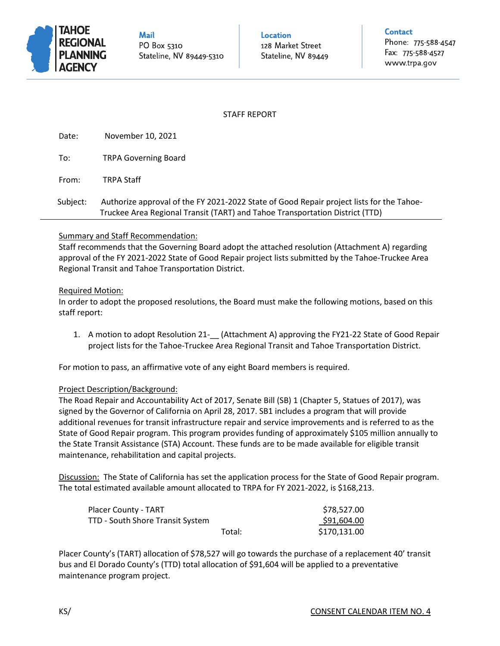

**Mail** PO Box 5310 Stateline, NV 89449-5310

Location 128 Market Street

Stateline, NV 89449

**Contact** 

Phone: 775-588-4547 Fax: 775-588-4527 www.trpa.gov

## STAFF REPORT

Date: November 10, 2021

To: TRPA Governing Board

From: TRPA Staff

 Subject: Authorize approval of the FY 2021-2022 State of Good Repair project lists for the Tahoe-Truckee Area Regional Transit (TART) and Tahoe Transportation District (TTD)

#### Summary and Staff Recommendation:

Staff recommends that the Governing Board adopt the attached resolution (Attachment A) regarding approval of the FY 2021-2022 State of Good Repair project lists submitted by the Tahoe-Truckee Area Regional Transit and Tahoe Transportation District.

#### Required Motion:

In order to adopt the proposed resolutions, the Board must make the following motions, based on this staff report:

1. A motion to adopt Resolution 21-\_\_ (Attachment A) approving the FY21-22 State of Good Repair project lists for the Tahoe-Truckee Area Regional Transit and Tahoe Transportation District.

For motion to pass, an affirmative vote of any eight Board members is required.

#### Project Description/Background:

The Road Repair and Accountability Act of 2017, Senate Bill (SB) 1 (Chapter 5, Statues of 2017), was signed by the Governor of California on April 28, 2017. SB1 includes a program that will provide additional revenues for transit infrastructure repair and service improvements and is referred to as the State of Good Repair program. This program provides funding of approximately \$105 million annually to the State Transit Assistance (STA) Account. These funds are to be made available for eligible transit maintenance, rehabilitation and capital projects.

Discussion: The State of California has set the application process for the State of Good Repair program. The total estimated available amount allocated to TRPA for FY 2021-2022, is \$168,213.

| <b>Placer County - TART</b>      |        | \$78,527.00  |
|----------------------------------|--------|--------------|
| TTD - South Shore Transit System |        | \$91,604.00  |
|                                  | Total: | \$170,131.00 |

Placer County's (TART) allocation of \$78,527 will go towards the purchase of a replacement 40' transit bus and El Dorado County's (TTD) total allocation of \$91,604 will be applied to a preventative maintenance program project.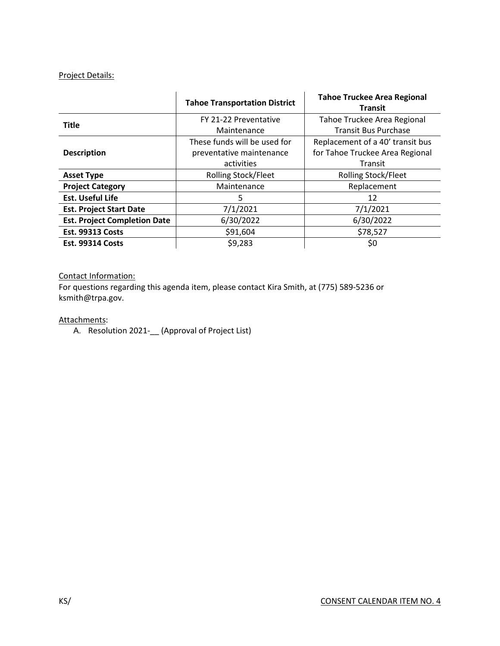#### Project Details:

|                                     | <b>Tahoe Transportation District</b> | <b>Tahoe Truckee Area Regional</b><br><b>Transit</b> |
|-------------------------------------|--------------------------------------|------------------------------------------------------|
| <b>Title</b>                        | FY 21-22 Preventative                | Tahoe Truckee Area Regional                          |
|                                     | Maintenance                          | <b>Transit Bus Purchase</b>                          |
|                                     | These funds will be used for         | Replacement of a 40' transit bus                     |
| <b>Description</b>                  | preventative maintenance             | for Tahoe Truckee Area Regional                      |
|                                     | activities                           | <b>Transit</b>                                       |
| <b>Asset Type</b>                   | <b>Rolling Stock/Fleet</b>           | <b>Rolling Stock/Fleet</b>                           |
| <b>Project Category</b>             | Maintenance                          | Replacement                                          |
| <b>Est. Useful Life</b>             | 5                                    | 12                                                   |
| <b>Est. Project Start Date</b>      | 7/1/2021                             | 7/1/2021                                             |
| <b>Est. Project Completion Date</b> | 6/30/2022                            | 6/30/2022                                            |
| <b>Est. 99313 Costs</b>             | \$91,604                             | \$78,527                                             |
| <b>Est. 99314 Costs</b>             | \$9,283                              | \$0                                                  |

### Contact Information:

For questions regarding this agenda item, please contact Kira Smith, at (775) 589-5236 or ksmith@trpa.gov.

### Attachments:

A. Resolution 2021-\_\_ (Approval of Project List)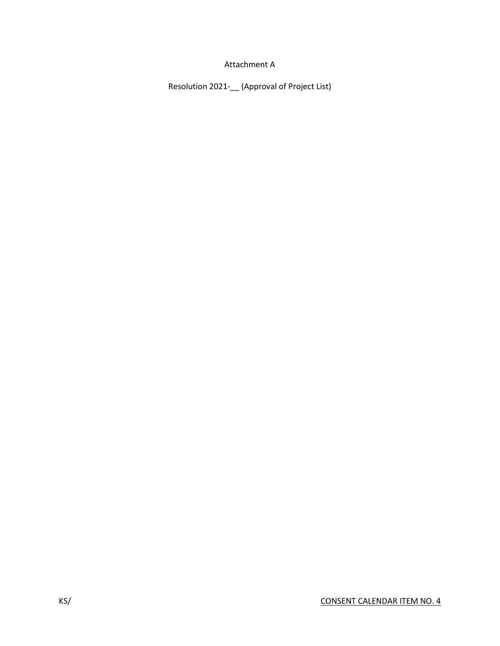## Attachment A

Resolution 2021-\_\_ (Approval of Project List)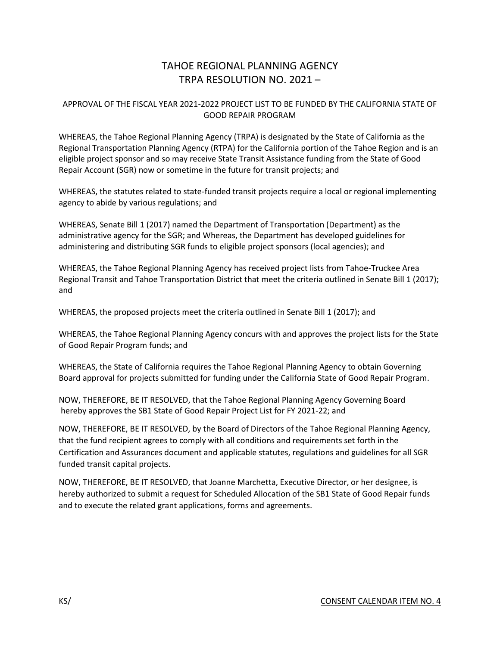# TAHOE REGIONAL PLANNING AGENCY TRPA RESOLUTION NO. 2021 –

## APPROVAL OF THE FISCAL YEAR 2021-2022 PROJECT LIST TO BE FUNDED BY THE CALIFORNIA STATE OF GOOD REPAIR PROGRAM

WHEREAS, the Tahoe Regional Planning Agency (TRPA) is designated by the State of California as the Regional Transportation Planning Agency (RTPA) for the California portion of the Tahoe Region and is an eligible project sponsor and so may receive State Transit Assistance funding from the State of Good Repair Account (SGR) now or sometime in the future for transit projects; and

WHEREAS, the statutes related to state-funded transit projects require a local or regional implementing agency to abide by various regulations; and

WHEREAS, Senate Bill 1 (2017) named the Department of Transportation (Department) as the administrative agency for the SGR; and Whereas, the Department has developed guidelines for administering and distributing SGR funds to eligible project sponsors (local agencies); and

WHEREAS, the Tahoe Regional Planning Agency has received project lists from Tahoe-Truckee Area Regional Transit and Tahoe Transportation District that meet the criteria outlined in Senate Bill 1 (2017); and

WHEREAS, the proposed projects meet the criteria outlined in Senate Bill 1 (2017); and

WHEREAS, the Tahoe Regional Planning Agency concurs with and approves the project lists for the State of Good Repair Program funds; and

WHEREAS, the State of California requires the Tahoe Regional Planning Agency to obtain Governing Board approval for projects submitted for funding under the California State of Good Repair Program.

NOW, THEREFORE, BE IT RESOLVED, that the Tahoe Regional Planning Agency Governing Board hereby approves the SB1 State of Good Repair Project List for FY 2021-22; and

NOW, THEREFORE, BE IT RESOLVED, by the Board of Directors of the Tahoe Regional Planning Agency, that the fund recipient agrees to comply with all conditions and requirements set forth in the Certification and Assurances document and applicable statutes, regulations and guidelines for all SGR funded transit capital projects.

NOW, THEREFORE, BE IT RESOLVED, that Joanne Marchetta, Executive Director, or her designee, is hereby authorized to submit a request for Scheduled Allocation of the SB1 State of Good Repair funds and to execute the related grant applications, forms and agreements.